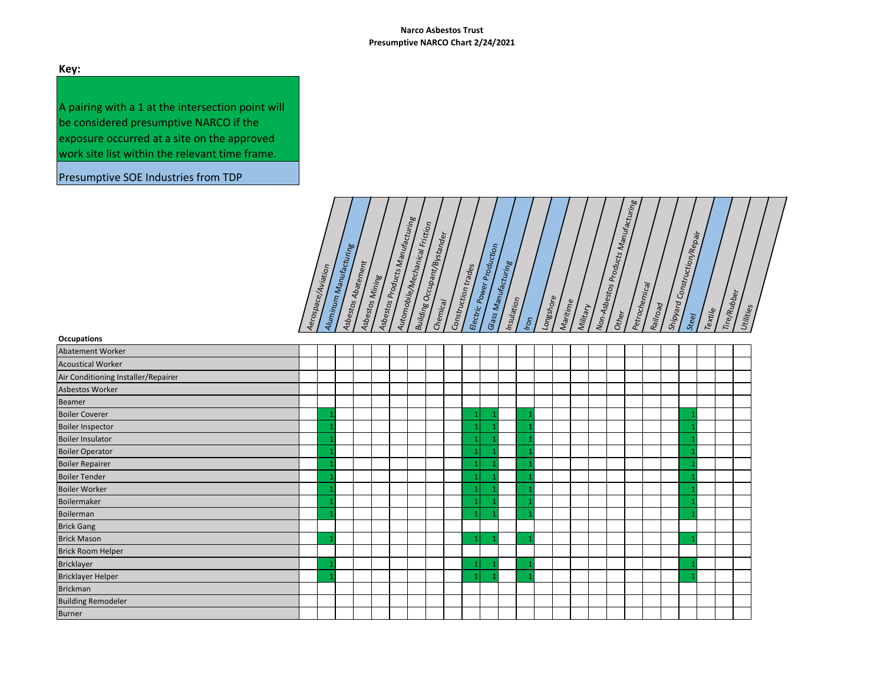# **Key:**

A pairing with a 1 at the intersection point will be considered presumptive NARCO if the exposure occurred at a site on the approved work site list within the relevant time frame.

Presumptive SOE Industries from TDP

| s Products Manufacturing<br>Automobile/Mechanical Friction<br>1 Construction/Repair<br>Building Occupant/Bystander<br>: Power Production<br>Manufacturing<br>Abatement<br>Manufacturing<br>Aerospace/Awation<br>Mining<br>Petrochemical<br>Non-Asbestos<br>$\mathsf{Constr}_\mathsf{Uction}$ t<br>Tire/Rubber<br>Aluminum<br>Longshore<br>Insulation<br>Asbestos<br>Asbestos,<br>Maritime<br>Asbestos<br>Shipyard<br>Railroad<br>Military<br>Utilities<br>Electric<br>Textile<br>Other<br>Glass<br>Steel<br>Iron |
|------------------------------------------------------------------------------------------------------------------------------------------------------------------------------------------------------------------------------------------------------------------------------------------------------------------------------------------------------------------------------------------------------------------------------------------------------------------------------------------------------------------|
|------------------------------------------------------------------------------------------------------------------------------------------------------------------------------------------------------------------------------------------------------------------------------------------------------------------------------------------------------------------------------------------------------------------------------------------------------------------------------------------------------------------|

| Occupations                         |  |  |  |  |  |  |  |  |  |  |  |  |  |
|-------------------------------------|--|--|--|--|--|--|--|--|--|--|--|--|--|
| Abatement Worker                    |  |  |  |  |  |  |  |  |  |  |  |  |  |
| <b>Acoustical Worker</b>            |  |  |  |  |  |  |  |  |  |  |  |  |  |
| Air Conditioning Installer/Repairer |  |  |  |  |  |  |  |  |  |  |  |  |  |
| Asbestos Worker                     |  |  |  |  |  |  |  |  |  |  |  |  |  |
| <b>Beamer</b>                       |  |  |  |  |  |  |  |  |  |  |  |  |  |
| <b>Boiler Coverer</b>               |  |  |  |  |  |  |  |  |  |  |  |  |  |
| <b>Boiler Inspector</b>             |  |  |  |  |  |  |  |  |  |  |  |  |  |
| <b>Boiler Insulator</b>             |  |  |  |  |  |  |  |  |  |  |  |  |  |
| <b>Boiler Operator</b>              |  |  |  |  |  |  |  |  |  |  |  |  |  |
| <b>Boiler Repairer</b>              |  |  |  |  |  |  |  |  |  |  |  |  |  |
| <b>Boiler Tender</b>                |  |  |  |  |  |  |  |  |  |  |  |  |  |
| <b>Boiler Worker</b>                |  |  |  |  |  |  |  |  |  |  |  |  |  |
| Boilermaker                         |  |  |  |  |  |  |  |  |  |  |  |  |  |
| Boilerman                           |  |  |  |  |  |  |  |  |  |  |  |  |  |
| <b>Brick Gang</b>                   |  |  |  |  |  |  |  |  |  |  |  |  |  |
| <b>Brick Mason</b>                  |  |  |  |  |  |  |  |  |  |  |  |  |  |
| Brick Room Helper                   |  |  |  |  |  |  |  |  |  |  |  |  |  |
| <b>Bricklayer</b>                   |  |  |  |  |  |  |  |  |  |  |  |  |  |
| <b>Bricklayer Helper</b>            |  |  |  |  |  |  |  |  |  |  |  |  |  |
| <b>Brickman</b>                     |  |  |  |  |  |  |  |  |  |  |  |  |  |
| <b>Building Remodeler</b>           |  |  |  |  |  |  |  |  |  |  |  |  |  |
| <b>Burner</b>                       |  |  |  |  |  |  |  |  |  |  |  |  |  |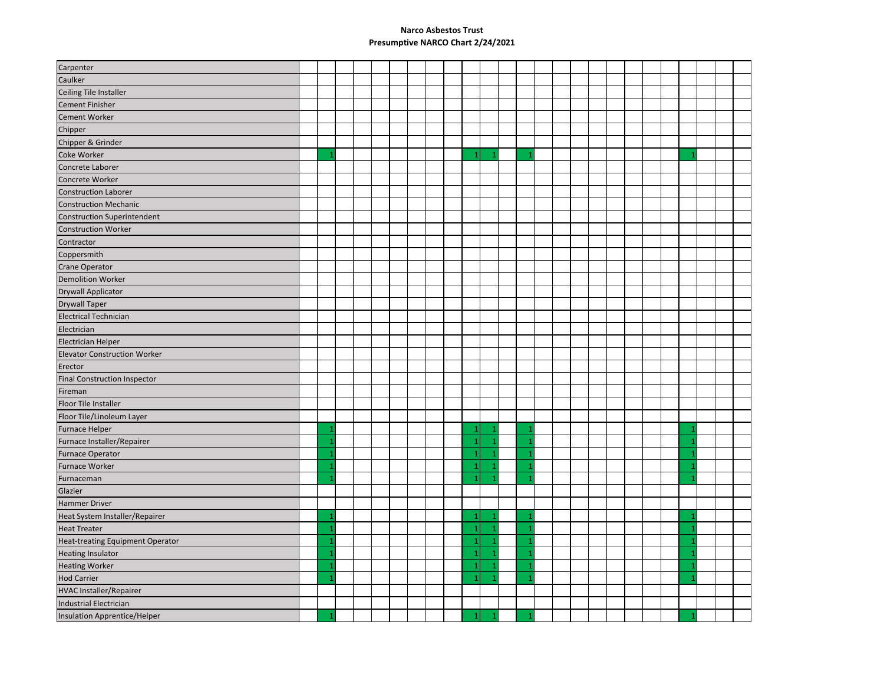| Carpenter                               |     |  |  |  |                |                |  |  |  |  |  |    |  |  |
|-----------------------------------------|-----|--|--|--|----------------|----------------|--|--|--|--|--|----|--|--|
| Caulker                                 |     |  |  |  |                |                |  |  |  |  |  |    |  |  |
| Ceiling Tile Installer                  |     |  |  |  |                |                |  |  |  |  |  |    |  |  |
| <b>Cement Finisher</b>                  |     |  |  |  |                |                |  |  |  |  |  |    |  |  |
| <b>Cement Worker</b>                    |     |  |  |  |                |                |  |  |  |  |  |    |  |  |
| Chipper                                 |     |  |  |  |                |                |  |  |  |  |  |    |  |  |
| Chipper & Grinder                       |     |  |  |  |                |                |  |  |  |  |  |    |  |  |
| Coke Worker                             |     |  |  |  | $\mathbf{1}$   | $\mathbf{1}$   |  |  |  |  |  | -1 |  |  |
| Concrete Laborer                        |     |  |  |  |                |                |  |  |  |  |  |    |  |  |
| Concrete Worker                         |     |  |  |  |                |                |  |  |  |  |  |    |  |  |
| <b>Construction Laborer</b>             |     |  |  |  |                |                |  |  |  |  |  |    |  |  |
| <b>Construction Mechanic</b>            |     |  |  |  |                |                |  |  |  |  |  |    |  |  |
| <b>Construction Superintendent</b>      |     |  |  |  |                |                |  |  |  |  |  |    |  |  |
| <b>Construction Worker</b>              |     |  |  |  |                |                |  |  |  |  |  |    |  |  |
| Contractor                              |     |  |  |  |                |                |  |  |  |  |  |    |  |  |
| Coppersmith                             |     |  |  |  |                |                |  |  |  |  |  |    |  |  |
| <b>Crane Operator</b>                   |     |  |  |  |                |                |  |  |  |  |  |    |  |  |
| <b>Demolition Worker</b>                |     |  |  |  |                |                |  |  |  |  |  |    |  |  |
| Drywall Applicator                      |     |  |  |  |                |                |  |  |  |  |  |    |  |  |
| <b>Drywall Taper</b>                    |     |  |  |  |                |                |  |  |  |  |  |    |  |  |
| <b>Electrical Technician</b>            |     |  |  |  |                |                |  |  |  |  |  |    |  |  |
| Electrician                             |     |  |  |  |                |                |  |  |  |  |  |    |  |  |
| <b>Electrician Helper</b>               |     |  |  |  |                |                |  |  |  |  |  |    |  |  |
| <b>Elevator Construction Worker</b>     |     |  |  |  |                |                |  |  |  |  |  |    |  |  |
| Erector                                 |     |  |  |  |                |                |  |  |  |  |  |    |  |  |
| <b>Final Construction Inspector</b>     |     |  |  |  |                |                |  |  |  |  |  |    |  |  |
| Fireman                                 |     |  |  |  |                |                |  |  |  |  |  |    |  |  |
| Floor Tile Installer                    |     |  |  |  |                |                |  |  |  |  |  |    |  |  |
| Floor Tile/Linoleum Layer               |     |  |  |  |                |                |  |  |  |  |  |    |  |  |
| <b>Furnace Helper</b>                   |     |  |  |  | $\mathbf{1}$   |                |  |  |  |  |  |    |  |  |
| Furnace Installer/Repairer              | -1  |  |  |  | $\mathbf{1}$   | $\overline{1}$ |  |  |  |  |  |    |  |  |
| <b>Furnace Operator</b>                 |     |  |  |  | $\mathbf{1}$   |                |  |  |  |  |  |    |  |  |
| Furnace Worker                          |     |  |  |  | $\mathbf{1}$   |                |  |  |  |  |  |    |  |  |
| Furnaceman                              |     |  |  |  | $\mathbf{1}$   | $\overline{1}$ |  |  |  |  |  |    |  |  |
| Glazier                                 |     |  |  |  |                |                |  |  |  |  |  |    |  |  |
| <b>Hammer Driver</b>                    |     |  |  |  |                |                |  |  |  |  |  |    |  |  |
| Heat System Installer/Repairer          |     |  |  |  | $\mathbf{1}$   |                |  |  |  |  |  |    |  |  |
| <b>Heat Treater</b>                     |     |  |  |  | $\mathbf{1}$   |                |  |  |  |  |  |    |  |  |
| <b>Heat-treating Equipment Operator</b> |     |  |  |  | $\mathbf{1}$   |                |  |  |  |  |  |    |  |  |
| <b>Heating Insulator</b>                |     |  |  |  | $\mathbf{1}$   |                |  |  |  |  |  |    |  |  |
| <b>Heating Worker</b>                   | - 1 |  |  |  | $\mathbf{1}$   |                |  |  |  |  |  | -1 |  |  |
| <b>Hod Carrier</b>                      |     |  |  |  | $\overline{1}$ |                |  |  |  |  |  |    |  |  |
| <b>HVAC Installer/Repairer</b>          |     |  |  |  |                |                |  |  |  |  |  |    |  |  |
| <b>Industrial Electrician</b>           |     |  |  |  |                |                |  |  |  |  |  |    |  |  |
| Insulation Apprentice/Helper            |     |  |  |  |                |                |  |  |  |  |  |    |  |  |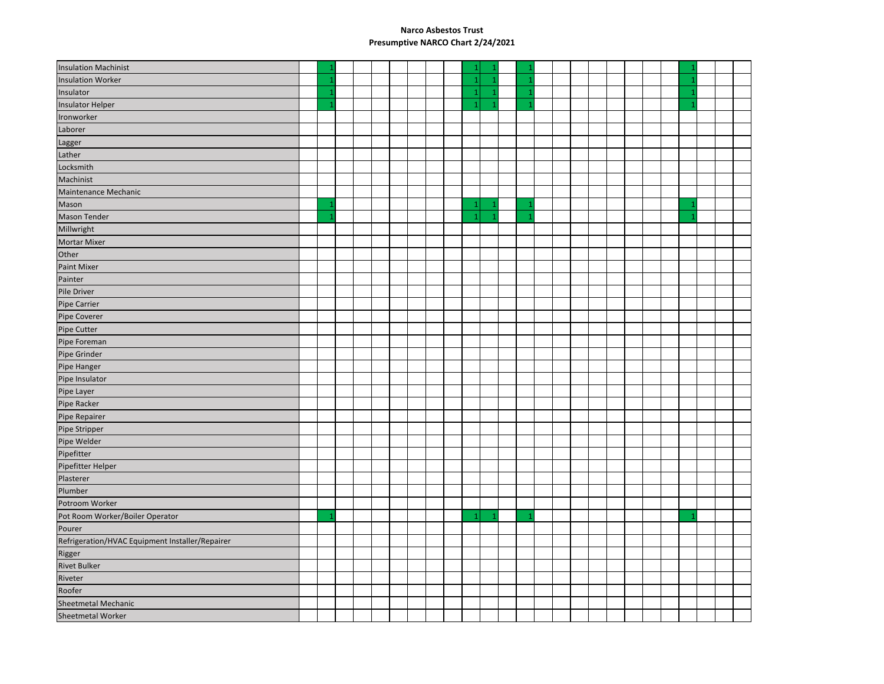| <b>Insulation Machinist</b>                     |                |  |  |  | 1              |    |  |  |  |  |  |  |  |
|-------------------------------------------------|----------------|--|--|--|----------------|----|--|--|--|--|--|--|--|
| <b>Insulation Worker</b>                        | -1             |  |  |  | $\mathbf{1}$   | -1 |  |  |  |  |  |  |  |
| Insulator                                       | -1             |  |  |  | $\mathbf{1}$   |    |  |  |  |  |  |  |  |
| <b>Insulator Helper</b>                         |                |  |  |  | $\overline{1}$ |    |  |  |  |  |  |  |  |
| Ironworker                                      |                |  |  |  |                |    |  |  |  |  |  |  |  |
| Laborer                                         |                |  |  |  |                |    |  |  |  |  |  |  |  |
| Lagger                                          |                |  |  |  |                |    |  |  |  |  |  |  |  |
| Lather                                          |                |  |  |  |                |    |  |  |  |  |  |  |  |
| Locksmith                                       |                |  |  |  |                |    |  |  |  |  |  |  |  |
| Machinist                                       |                |  |  |  |                |    |  |  |  |  |  |  |  |
| Maintenance Mechanic                            |                |  |  |  |                |    |  |  |  |  |  |  |  |
| Mason                                           | $\mathbf{1}$   |  |  |  | $\mathbf 1$    | -1 |  |  |  |  |  |  |  |
| <b>Mason Tender</b>                             | $\overline{1}$ |  |  |  | $\overline{1}$ | -1 |  |  |  |  |  |  |  |
| Millwright                                      |                |  |  |  |                |    |  |  |  |  |  |  |  |
| <b>Mortar Mixer</b>                             |                |  |  |  |                |    |  |  |  |  |  |  |  |
| Other                                           |                |  |  |  |                |    |  |  |  |  |  |  |  |
| Paint Mixer                                     |                |  |  |  |                |    |  |  |  |  |  |  |  |
| Painter                                         |                |  |  |  |                |    |  |  |  |  |  |  |  |
| Pile Driver                                     |                |  |  |  |                |    |  |  |  |  |  |  |  |
| <b>Pipe Carrier</b>                             |                |  |  |  |                |    |  |  |  |  |  |  |  |
| Pipe Coverer                                    |                |  |  |  |                |    |  |  |  |  |  |  |  |
| Pipe Cutter                                     |                |  |  |  |                |    |  |  |  |  |  |  |  |
| Pipe Foreman                                    |                |  |  |  |                |    |  |  |  |  |  |  |  |
| Pipe Grinder                                    |                |  |  |  |                |    |  |  |  |  |  |  |  |
| Pipe Hanger                                     |                |  |  |  |                |    |  |  |  |  |  |  |  |
| Pipe Insulator                                  |                |  |  |  |                |    |  |  |  |  |  |  |  |
| Pipe Layer                                      |                |  |  |  |                |    |  |  |  |  |  |  |  |
| Pipe Racker                                     |                |  |  |  |                |    |  |  |  |  |  |  |  |
| Pipe Repairer                                   |                |  |  |  |                |    |  |  |  |  |  |  |  |
| Pipe Stripper                                   |                |  |  |  |                |    |  |  |  |  |  |  |  |
| Pipe Welder                                     |                |  |  |  |                |    |  |  |  |  |  |  |  |
| Pipefitter                                      |                |  |  |  |                |    |  |  |  |  |  |  |  |
| Pipefitter Helper                               |                |  |  |  |                |    |  |  |  |  |  |  |  |
| Plasterer                                       |                |  |  |  |                |    |  |  |  |  |  |  |  |
| Plumber                                         |                |  |  |  |                |    |  |  |  |  |  |  |  |
| Potroom Worker                                  |                |  |  |  |                |    |  |  |  |  |  |  |  |
| Pot Room Worker/Boiler Operator                 | 1              |  |  |  | $\mathbf{1}$   | 1  |  |  |  |  |  |  |  |
| Pourer                                          |                |  |  |  |                |    |  |  |  |  |  |  |  |
| Refrigeration/HVAC Equipment Installer/Repairer |                |  |  |  |                |    |  |  |  |  |  |  |  |
| Rigger                                          |                |  |  |  |                |    |  |  |  |  |  |  |  |
| <b>Rivet Bulker</b>                             |                |  |  |  |                |    |  |  |  |  |  |  |  |
| Riveter                                         |                |  |  |  |                |    |  |  |  |  |  |  |  |
| Roofer                                          |                |  |  |  |                |    |  |  |  |  |  |  |  |
| Sheetmetal Mechanic                             |                |  |  |  |                |    |  |  |  |  |  |  |  |
| Sheetmetal Worker                               |                |  |  |  |                |    |  |  |  |  |  |  |  |